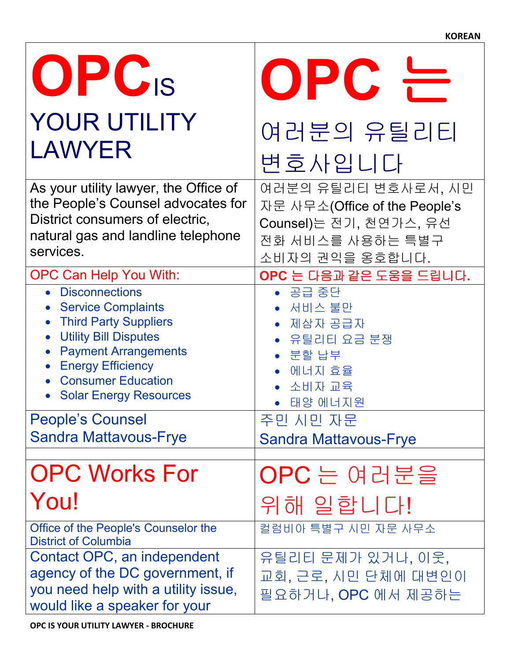| OPC <sub>IS</sub><br><b>YOUR UTILITY</b>                                                                                                                                                                           | OPC                                                                                                                   |
|--------------------------------------------------------------------------------------------------------------------------------------------------------------------------------------------------------------------|-----------------------------------------------------------------------------------------------------------------------|
| <b>LAWYER</b>                                                                                                                                                                                                      | 여러분의 유틸리티<br>변호사입니다                                                                                                   |
| As your utility lawyer, the Office of<br>the People's Counsel advocates for<br>District consumers of electric,<br>natural gas and landline telephone<br>services.                                                  | 여러분의 유틸리티 변호사로서, 시민<br>자문 사무소(Office of the People's<br>Counsel)는 전기, 천연가스, 유선<br>전화 서비스를 사용하는 특별구<br>소비자의 권익을 옹호합니다. |
| <b>OPC Can Help You With:</b>                                                                                                                                                                                      | OPC 는 다음과 같은 도움을 드립니다.                                                                                                |
| • Disconnections<br><b>Service Complaints</b><br>• Third Party Suppliers<br><b>Utility Bill Disputes</b><br><b>Payment Arrangements</b><br>• Energy Efficiency<br>• Consumer Education<br>• Solar Energy Resources | • 공급 중단<br>• 서비스 불만<br>• 제삼자 공급자<br>• 유틸리티 요금 분쟁<br>$\bullet$ 분할 납부<br>• 에너지 효율<br>• 소비자 교육<br>• 태양 에너지원              |
| <b>People's Counsel</b>                                                                                                                                                                                            | 주민 시민 자문                                                                                                              |
| <b>Sandra Mattavous-Frye</b>                                                                                                                                                                                       | <b>Sandra Mattavous-Frye</b>                                                                                          |
| <b>OPC Works For</b>                                                                                                                                                                                               | $OPC \geq$ 여러분을                                                                                                       |
| You!                                                                                                                                                                                                               | 위해 일합니다!                                                                                                              |
| Office of the People's Counselor the<br><b>District of Columbia</b>                                                                                                                                                | 컬럼비아 특별구 시민 자문 사무소                                                                                                    |
| Contact OPC, an independent<br>agency of the DC government, if<br>you need help with a utility issue,<br>would like a speaker for your                                                                             | 유틸리티 문제가 있거나, 이웃,<br>교회, 근로, 시민 단체에 대변인이<br>필요하거나, OPC 에서 제공하는                                                        |